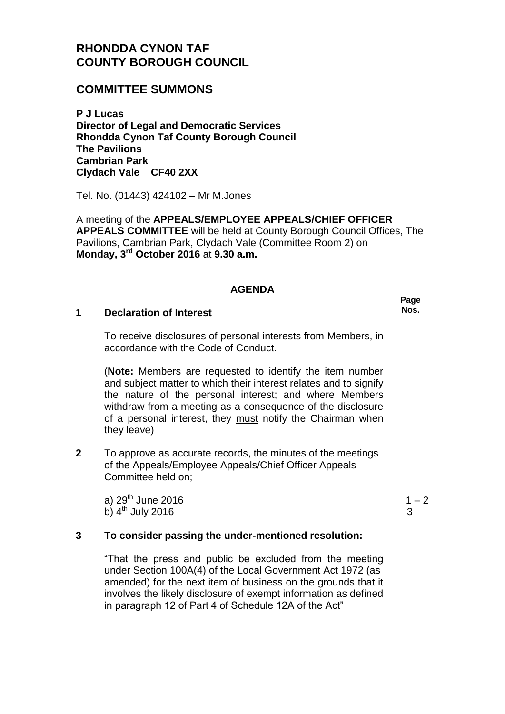# **RHONDDA CYNON TAF COUNTY BOROUGH COUNCIL**

## **COMMITTEE SUMMONS**

**P J Lucas Director of Legal and Democratic Services Rhondda Cynon Taf County Borough Council The Pavilions Cambrian Park Clydach Vale CF40 2XX**

Tel. No. (01443) 424102 – Mr M.Jones

A meeting of the **APPEALS/EMPLOYEE APPEALS/CHIEF OFFICER APPEALS COMMITTEE** will be held at County Borough Council Offices, The Pavilions, Cambrian Park, Clydach Vale (Committee Room 2) on **Monday, 3rd October 2016** at **9.30 a.m.**

#### **AGENDA**

#### **1 Declaration of Interest**

To receive disclosures of personal interests from Members, in accordance with the Code of Conduct.

(**Note:** Members are requested to identify the item number and subject matter to which their interest relates and to signify the nature of the personal interest; and where Members withdraw from a meeting as a consequence of the disclosure of a personal interest, they must notify the Chairman when they leave)

**2** To approve as accurate records, the minutes of the meetings of the Appeals/Employee Appeals/Chief Officer Appeals Committee held on;

a)  $29<sup>th</sup>$  June 2016 b)  $4^{\text{th}}$  July 2016

 $1 - 2$ 3

## **3 To consider passing the under-mentioned resolution:**

"That the press and public be excluded from the meeting under Section 100A(4) of the Local Government Act 1972 (as amended) for the next item of business on the grounds that it involves the likely disclosure of exempt information as defined in paragraph 12 of Part 4 of Schedule 12A of the Act"

**Page Nos.**